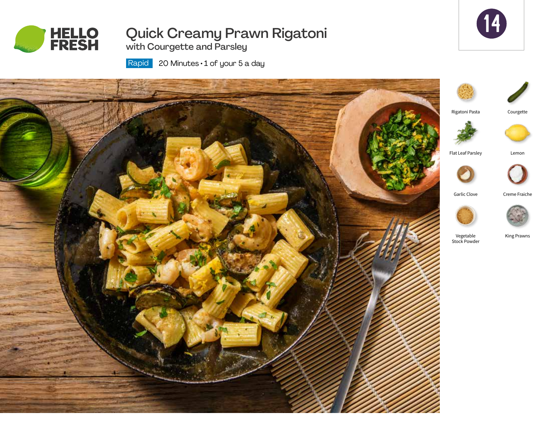

# Quick Creamy Prawn Rigatoni with Courgette and Parsley



 20 Minutes • 1 of your 5 a day Rapid